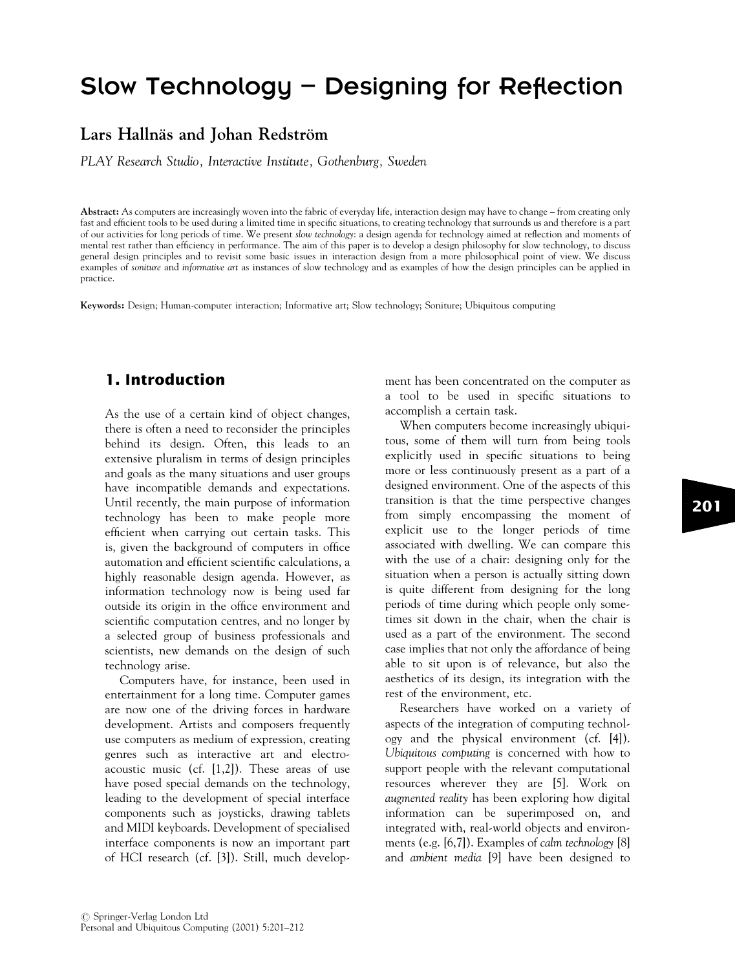# Slow Technology – Designing for Reflection

## Lars Hallnäs and Johan Redström

PLAY Research Studio, Interactive Institute, Gothenburg, Sweden

Abstract: As computers are increasingly woven into the fabric of everyday life, interaction design may have to change – from creating only fast and efficient tools to be used during a limited time in specific situations, to creating technology that surrounds us and therefore is a part of our activities for long periods of time. We present slow technology: a design agenda for technology aimed at reflection and moments of mental rest rather than efficiency in performance. The aim of this paper is to develop a design philosophy for slow technology, to discuss general design principles and to revisit some basic issues in interaction design from a more philosophical point of view. We discuss examples of soniture and informative art as instances of slow technology and as examples of how the design principles can be applied in practice.

Keywords: Design; Human-computer interaction; Informative art; Slow technology; Soniture; Ubiquitous computing

## 1. Introduction

As the use of a certain kind of object changes, there is often a need to reconsider the principles behind its design. Often, this leads to an extensive pluralism in terms of design principles and goals as the many situations and user groups have incompatible demands and expectations. Until recently, the main purpose of information technology has been to make people more efficient when carrying out certain tasks. This is, given the background of computers in office automation and efficient scientific calculations, a highly reasonable design agenda. However, as information technology now is being used far outside its origin in the office environment and scientific computation centres, and no longer by a selected group of business professionals and scientists, new demands on the design of such technology arise.

Computers have, for instance, been used in entertainment for a long time. Computer games are now one of the driving forces in hardware development. Artists and composers frequently use computers as medium of expression, creating genres such as interactive art and electroacoustic music (cf. [1,2]). These areas of use have posed special demands on the technology, leading to the development of special interface components such as joysticks, drawing tablets and MIDI keyboards. Development of specialised interface components is now an important part of HCI research (cf. [3]). Still, much development has been concentrated on the computer as a tool to be used in specific situations to accomplish a certain task.

When computers become increasingly ubiquitous, some of them will turn from being tools explicitly used in specific situations to being more or less continuously present as a part of a designed environment. One of the aspects of this transition is that the time perspective changes from simply encompassing the moment of explicit use to the longer periods of time associated with dwelling. We can compare this with the use of a chair: designing only for the situation when a person is actually sitting down is quite different from designing for the long periods of time during which people only sometimes sit down in the chair, when the chair is used as a part of the environment. The second case implies that not only the affordance of being able to sit upon is of relevance, but also the aesthetics of its design, its integration with the rest of the environment, etc.

Researchers have worked on a variety of aspects of the integration of computing technology and the physical environment (cf. [4]). Ubiquitous computing is concerned with how to support people with the relevant computational resources wherever they are [5]. Work on augmented reality has been exploring how digital information can be superimposed on, and integrated with, real-world objects and environments (e.g. [6,7]). Examples of calm technology [8] and ambient media [9] have been designed to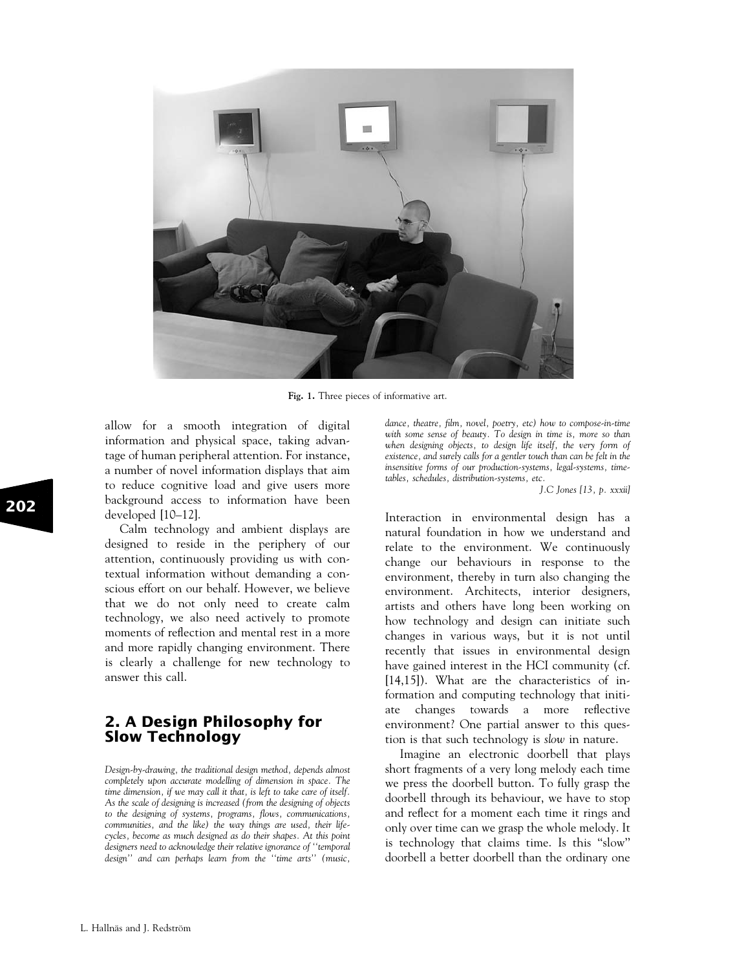

Fig. 1. Three pieces of informative art.

allow for a smooth integration of digital information and physical space, taking advantage of human peripheral attention. For instance, a number of novel information displays that aim to reduce cognitive load and give users more background access to information have been developed [10–12].

Calm technology and ambient displays are designed to reside in the periphery of our attention, continuously providing us with contextual information without demanding a conscious effort on our behalf. However, we believe that we do not only need to create calm technology, we also need actively to promote moments of reflection and mental rest in a more and more rapidly changing environment. There is clearly a challenge for new technology to answer this call.

## 2. A Design Philosophy for Slow Technology

Design-by-drawing, the traditional design method, depends almost completely upon accurate modelling of dimension in space. The time dimension, if we may call it that, is left to take care of itself. As the scale of designing is increased (from the designing of objects to the designing of systems, programs, flows, communications, communities, and the like) the way things are used, their lifecycles, become as much designed as do their shapes. At this point designers need to acknowledge their relative ignorance of ''temporal design'' and can perhaps learn from the "time arts" (music, dance, theatre, film, novel, poetry, etc) how to compose-in-time with some sense of beauty. To design in time is, more so than when designing objects, to design life itself, the very form of existence, and surely calls for a gentler touch than can be felt in the insensitive forms of our production-systems, legal-systems, timetables, schedules, distribution-systems, etc.

J.C Jones [13, p. xxxii]

Interaction in environmental design has a natural foundation in how we understand and relate to the environment. We continuously change our behaviours in response to the environment, thereby in turn also changing the environment. Architects, interior designers, artists and others have long been working on how technology and design can initiate such changes in various ways, but it is not until recently that issues in environmental design have gained interest in the HCI community (cf. [14,15]). What are the characteristics of information and computing technology that initiate changes towards a more reflective environment? One partial answer to this question is that such technology is slow in nature.

Imagine an electronic doorbell that plays short fragments of a very long melody each time we press the doorbell button. To fully grasp the doorbell through its behaviour, we have to stop and reflect for a moment each time it rings and only over time can we grasp the whole melody. It is technology that claims time. Is this ''slow'' doorbell a better doorbell than the ordinary one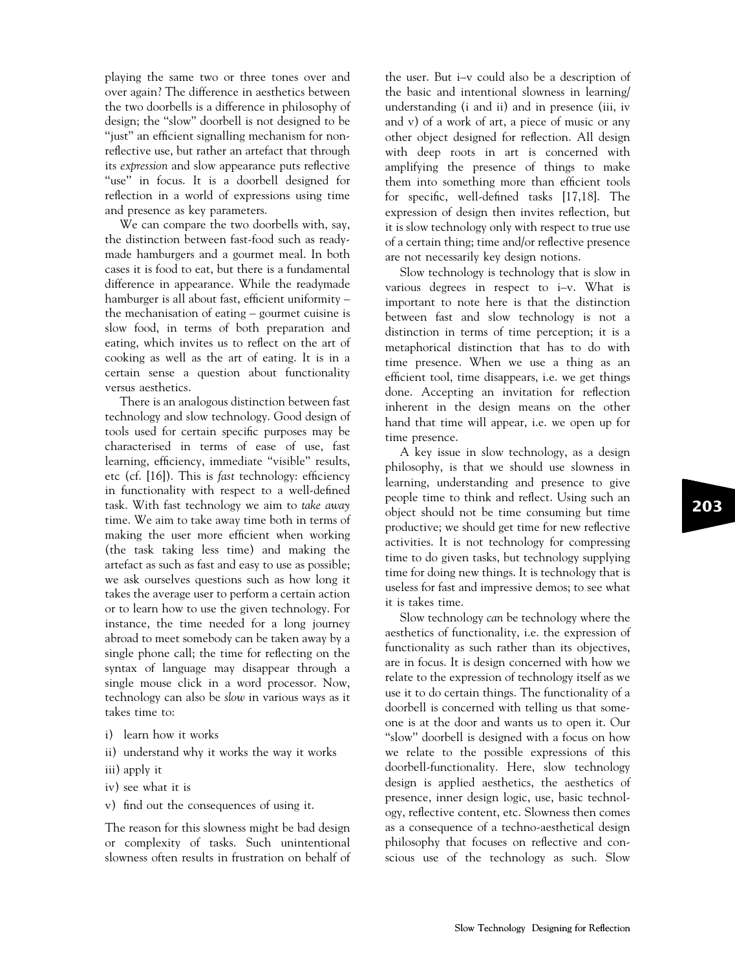playing the same two or three tones over and over again? The difference in aesthetics between the two doorbells is a difference in philosophy of design; the ''slow'' doorbell is not designed to be "just" an efficient signalling mechanism for nonreflective use, but rather an artefact that through its expression and slow appearance puts reflective "use" in focus. It is a doorbell designed for reflection in a world of expressions using time and presence as key parameters.

We can compare the two doorbells with, say, the distinction between fast-food such as readymade hamburgers and a gourmet meal. In both cases it is food to eat, but there is a fundamental difference in appearance. While the readymade hamburger is all about fast, efficient uniformity – the mechanisation of eating – gourmet cuisine is slow food, in terms of both preparation and eating, which invites us to reflect on the art of cooking as well as the art of eating. It is in a certain sense a question about functionality versus aesthetics.

There is an analogous distinction between fast technology and slow technology. Good design of tools used for certain specific purposes may be characterised in terms of ease of use, fast learning, efficiency, immediate "visible" results, etc (cf. [16]). This is fast technology: efficiency in functionality with respect to a well-defined task. With fast technology we aim to take away time. We aim to take away time both in terms of making the user more efficient when working (the task taking less time) and making the artefact as such as fast and easy to use as possible; we ask ourselves questions such as how long it takes the average user to perform a certain action or to learn how to use the given technology. For instance, the time needed for a long journey abroad to meet somebody can be taken away by a single phone call; the time for reflecting on the syntax of language may disappear through a single mouse click in a word processor. Now, technology can also be slow in various ways as it takes time to:

- i) learn how it works
- ii) understand why it works the way it works
- iii) apply it
- iv) see what it is
- v) find out the consequences of using it.

The reason for this slowness might be bad design or complexity of tasks. Such unintentional slowness often results in frustration on behalf of the user. But i–v could also be a description of the basic and intentional slowness in learning/ understanding (i and ii) and in presence (iii, iv and v) of a work of art, a piece of music or any other object designed for reflection. All design with deep roots in art is concerned with amplifying the presence of things to make them into something more than efficient tools for specific, well-defined tasks [17,18]. The expression of design then invites reflection, but it is slow technology only with respect to true use of a certain thing; time and/or reflective presence are not necessarily key design notions.

Slow technology is technology that is slow in various degrees in respect to i–v. What is important to note here is that the distinction between fast and slow technology is not a distinction in terms of time perception; it is a metaphorical distinction that has to do with time presence. When we use a thing as an efficient tool, time disappears, i.e. we get things done. Accepting an invitation for reflection inherent in the design means on the other hand that time will appear, i.e. we open up for time presence.

A key issue in slow technology, as a design philosophy, is that we should use slowness in learning, understanding and presence to give people time to think and reflect. Using such an object should not be time consuming but time productive; we should get time for new reflective activities. It is not technology for compressing time to do given tasks, but technology supplying time for doing new things. It is technology that is useless for fast and impressive demos; to see what it is takes time.

Slow technology can be technology where the aesthetics of functionality, i.e. the expression of functionality as such rather than its objectives, are in focus. It is design concerned with how we relate to the expression of technology itself as we use it to do certain things. The functionality of a doorbell is concerned with telling us that someone is at the door and wants us to open it. Our ''slow'' doorbell is designed with a focus on how we relate to the possible expressions of this doorbell-functionality. Here, slow technology design is applied aesthetics, the aesthetics of presence, inner design logic, use, basic technology, reflective content, etc. Slowness then comes as a consequence of a techno-aesthetical design philosophy that focuses on reflective and conscious use of the technology as such. Slow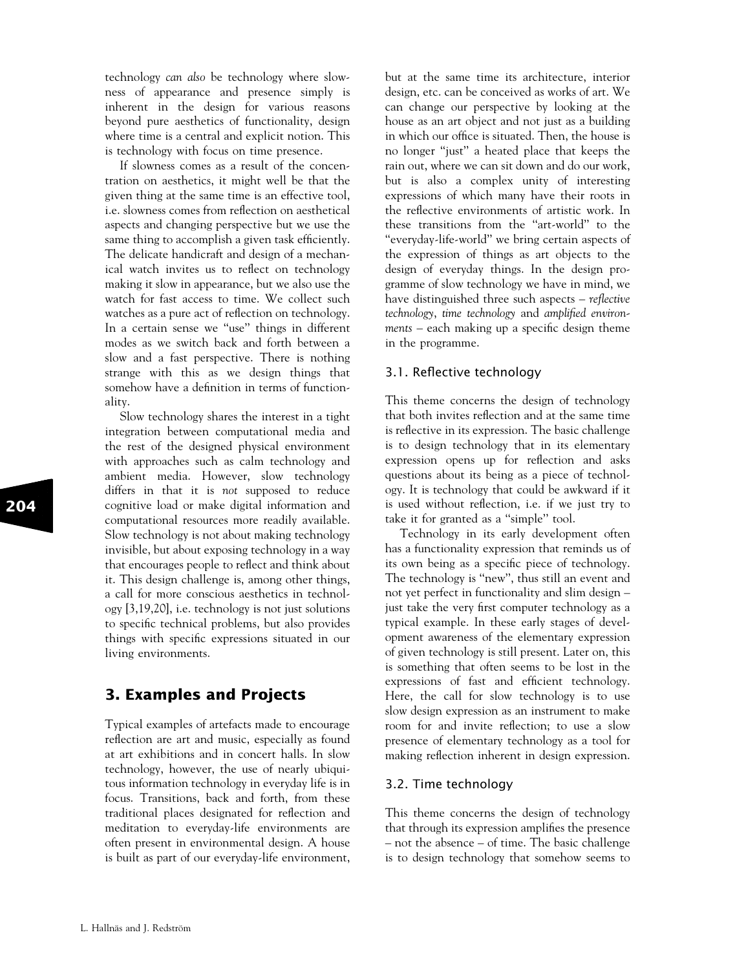technology can also be technology where slowness of appearance and presence simply is inherent in the design for various reasons beyond pure aesthetics of functionality, design where time is a central and explicit notion. This is technology with focus on time presence.

If slowness comes as a result of the concentration on aesthetics, it might well be that the given thing at the same time is an effective tool, i.e. slowness comes from reflection on aesthetical aspects and changing perspective but we use the same thing to accomplish a given task efficiently. The delicate handicraft and design of a mechanical watch invites us to reflect on technology making it slow in appearance, but we also use the watch for fast access to time. We collect such watches as a pure act of reflection on technology. In a certain sense we ''use'' things in different modes as we switch back and forth between a slow and a fast perspective. There is nothing strange with this as we design things that somehow have a definition in terms of functionality.

Slow technology shares the interest in a tight integration between computational media and the rest of the designed physical environment with approaches such as calm technology and ambient media. However, slow technology differs in that it is not supposed to reduce cognitive load or make digital information and computational resources more readily available. Slow technology is not about making technology invisible, but about exposing technology in a way that encourages people to reflect and think about it. This design challenge is, among other things, a call for more conscious aesthetics in technology [3,19,20], i.e. technology is not just solutions to specific technical problems, but also provides things with specific expressions situated in our living environments.

## 3. Examples and Projects

Typical examples of artefacts made to encourage reflection are art and music, especially as found at art exhibitions and in concert halls. In slow technology, however, the use of nearly ubiquitous information technology in everyday life is in focus. Transitions, back and forth, from these traditional places designated for reflection and meditation to everyday-life environments are often present in environmental design. A house is built as part of our everyday-life environment, but at the same time its architecture, interior design, etc. can be conceived as works of art. We can change our perspective by looking at the house as an art object and not just as a building in which our office is situated. Then, the house is no longer ''just'' a heated place that keeps the rain out, where we can sit down and do our work, but is also a complex unity of interesting expressions of which many have their roots in the reflective environments of artistic work. In these transitions from the ''art-world'' to the ''everyday-life-world'' we bring certain aspects of the expression of things as art objects to the design of everyday things. In the design programme of slow technology we have in mind, we have distinguished three such aspects – reflective technology, time technology and amplified environments – each making up a specific design theme in the programme.

### 3.1. Reflective technology

This theme concerns the design of technology that both invites reflection and at the same time is reflective in its expression. The basic challenge is to design technology that in its elementary expression opens up for reflection and asks questions about its being as a piece of technology. It is technology that could be awkward if it is used without reflection, i.e. if we just try to take it for granted as a ''simple'' tool.

Technology in its early development often has a functionality expression that reminds us of its own being as a specific piece of technology. The technology is ''new'', thus still an event and not yet perfect in functionality and slim design – just take the very first computer technology as a typical example. In these early stages of development awareness of the elementary expression of given technology is still present. Later on, this is something that often seems to be lost in the expressions of fast and efficient technology. Here, the call for slow technology is to use slow design expression as an instrument to make room for and invite reflection; to use a slow presence of elementary technology as a tool for making reflection inherent in design expression.

### 3.2. Time technology

This theme concerns the design of technology that through its expression amplifies the presence – not the absence – of time. The basic challenge is to design technology that somehow seems to

L. Hallnäs and L. Redström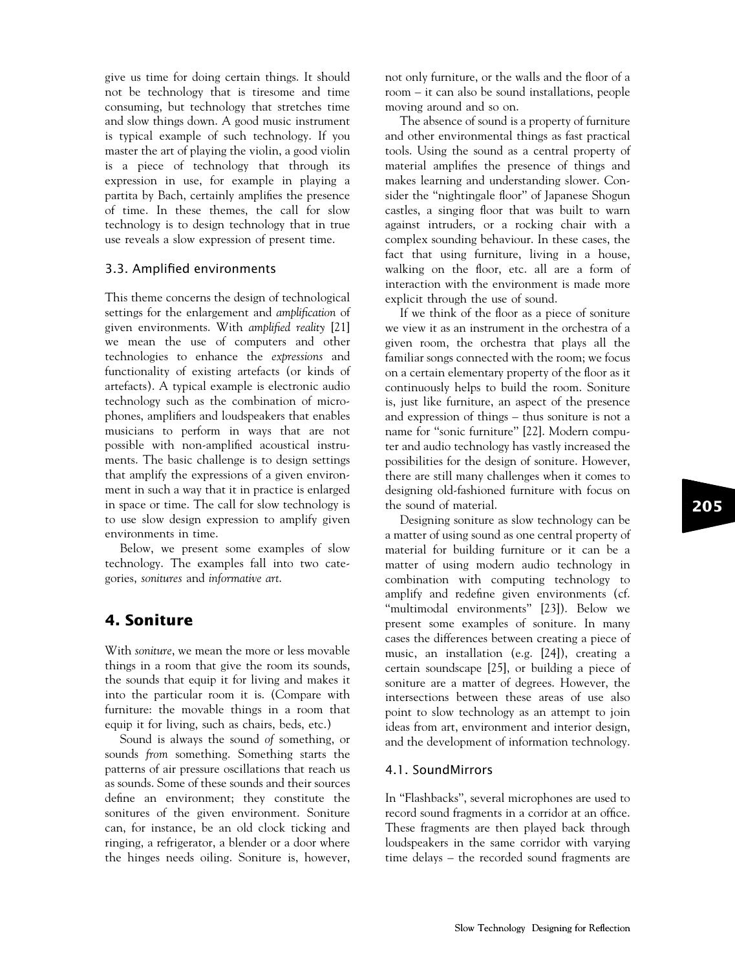give us time for doing certain things. It should not be technology that is tiresome and time consuming, but technology that stretches time and slow things down. A good music instrument is typical example of such technology. If you master the art of playing the violin, a good violin is a piece of technology that through its expression in use, for example in playing a partita by Bach, certainly amplifies the presence of time. In these themes, the call for slow technology is to design technology that in true use reveals a slow expression of present time.

#### 3.3. Amplified environments

This theme concerns the design of technological settings for the enlargement and amplification of given environments. With amplified reality [21] we mean the use of computers and other technologies to enhance the expressions and functionality of existing artefacts (or kinds of artefacts). A typical example is electronic audio technology such as the combination of microphones, amplifiers and loudspeakers that enables musicians to perform in ways that are not possible with non-amplified acoustical instruments. The basic challenge is to design settings that amplify the expressions of a given environment in such a way that it in practice is enlarged in space or time. The call for slow technology is to use slow design expression to amplify given environments in time.

Below, we present some examples of slow technology. The examples fall into two categories, sonitures and informative art.

## 4. Soniture

With soniture, we mean the more or less movable things in a room that give the room its sounds, the sounds that equip it for living and makes it into the particular room it is. (Compare with furniture: the movable things in a room that equip it for living, such as chairs, beds, etc.)

Sound is always the sound of something, or sounds from something. Something starts the patterns of air pressure oscillations that reach us as sounds. Some of these sounds and their sources define an environment; they constitute the sonitures of the given environment. Soniture can, for instance, be an old clock ticking and ringing, a refrigerator, a blender or a door where the hinges needs oiling. Soniture is, however, not only furniture, or the walls and the floor of a room – it can also be sound installations, people moving around and so on.

The absence of sound is a property of furniture and other environmental things as fast practical tools. Using the sound as a central property of material amplifies the presence of things and makes learning and understanding slower. Consider the ''nightingale floor'' of Japanese Shogun castles, a singing floor that was built to warn against intruders, or a rocking chair with a complex sounding behaviour. In these cases, the fact that using furniture, living in a house, walking on the floor, etc. all are a form of interaction with the environment is made more explicit through the use of sound.

If we think of the floor as a piece of soniture we view it as an instrument in the orchestra of a given room, the orchestra that plays all the familiar songs connected with the room; we focus on a certain elementary property of the floor as it continuously helps to build the room. Soniture is, just like furniture, an aspect of the presence and expression of things – thus soniture is not a name for "sonic furniture" [22]. Modern computer and audio technology has vastly increased the possibilities for the design of soniture. However, there are still many challenges when it comes to designing old-fashioned furniture with focus on the sound of material.

Designing soniture as slow technology can be a matter of using sound as one central property of material for building furniture or it can be a matter of using modern audio technology in combination with computing technology to amplify and redefine given environments (cf. "multimodal environments" [23]). Below we present some examples of soniture. In many cases the differences between creating a piece of music, an installation (e.g. [24]), creating a certain soundscape [25], or building a piece of soniture are a matter of degrees. However, the intersections between these areas of use also point to slow technology as an attempt to join ideas from art, environment and interior design, and the development of information technology.

#### 4.1. SoundMirrors

In ''Flashbacks'', several microphones are used to record sound fragments in a corridor at an office. These fragments are then played back through loudspeakers in the same corridor with varying time delays – the recorded sound fragments are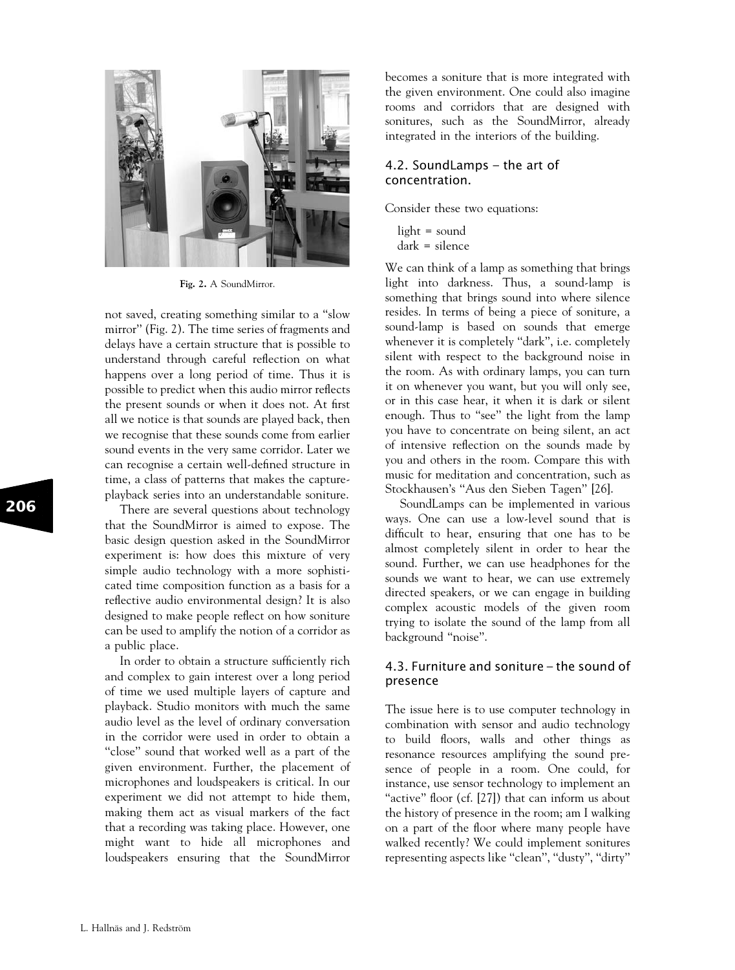

Fig. 2. A SoundMirror.

not saved, creating something similar to a ''slow mirror'' (Fig. 2). The time series of fragments and delays have a certain structure that is possible to understand through careful reflection on what happens over a long period of time. Thus it is possible to predict when this audio mirror reflects the present sounds or when it does not. At first all we notice is that sounds are played back, then we recognise that these sounds come from earlier sound events in the very same corridor. Later we can recognise a certain well-defined structure in time, a class of patterns that makes the captureplayback series into an understandable soniture.

There are several questions about technology that the SoundMirror is aimed to expose. The basic design question asked in the SoundMirror experiment is: how does this mixture of very simple audio technology with a more sophisticated time composition function as a basis for a reflective audio environmental design? It is also designed to make people reflect on how soniture can be used to amplify the notion of a corridor as a public place.

In order to obtain a structure sufficiently rich and complex to gain interest over a long period of time we used multiple layers of capture and playback. Studio monitors with much the same audio level as the level of ordinary conversation in the corridor were used in order to obtain a "close" sound that worked well as a part of the given environment. Further, the placement of microphones and loudspeakers is critical. In our experiment we did not attempt to hide them, making them act as visual markers of the fact that a recording was taking place. However, one might want to hide all microphones and loudspeakers ensuring that the SoundMirror becomes a soniture that is more integrated with the given environment. One could also imagine rooms and corridors that are designed with sonitures, such as the SoundMirror, already integrated in the interiors of the building.

#### 4.2. SoundLamps – the art of concentration.

Consider these two equations:

light = sound dark = silence

We can think of a lamp as something that brings light into darkness. Thus, a sound-lamp is something that brings sound into where silence resides. In terms of being a piece of soniture, a sound-lamp is based on sounds that emerge whenever it is completely "dark", i.e. completely silent with respect to the background noise in the room. As with ordinary lamps, you can turn it on whenever you want, but you will only see, or in this case hear, it when it is dark or silent enough. Thus to ''see'' the light from the lamp you have to concentrate on being silent, an act of intensive reflection on the sounds made by you and others in the room. Compare this with music for meditation and concentration, such as Stockhausen's ''Aus den Sieben Tagen'' [26].

SoundLamps can be implemented in various ways. One can use a low-level sound that is difficult to hear, ensuring that one has to be almost completely silent in order to hear the sound. Further, we can use headphones for the sounds we want to hear, we can use extremely directed speakers, or we can engage in building complex acoustic models of the given room trying to isolate the sound of the lamp from all background ''noise''.

#### 4.3. Furniture and soniture – the sound of presence

The issue here is to use computer technology in combination with sensor and audio technology to build floors, walls and other things as resonance resources amplifying the sound presence of people in a room. One could, for instance, use sensor technology to implement an "active" floor (cf. [27]) that can inform us about the history of presence in the room; am I walking on a part of the floor where many people have walked recently? We could implement sonitures representing aspects like ''clean'', ''dusty'', ''dirty''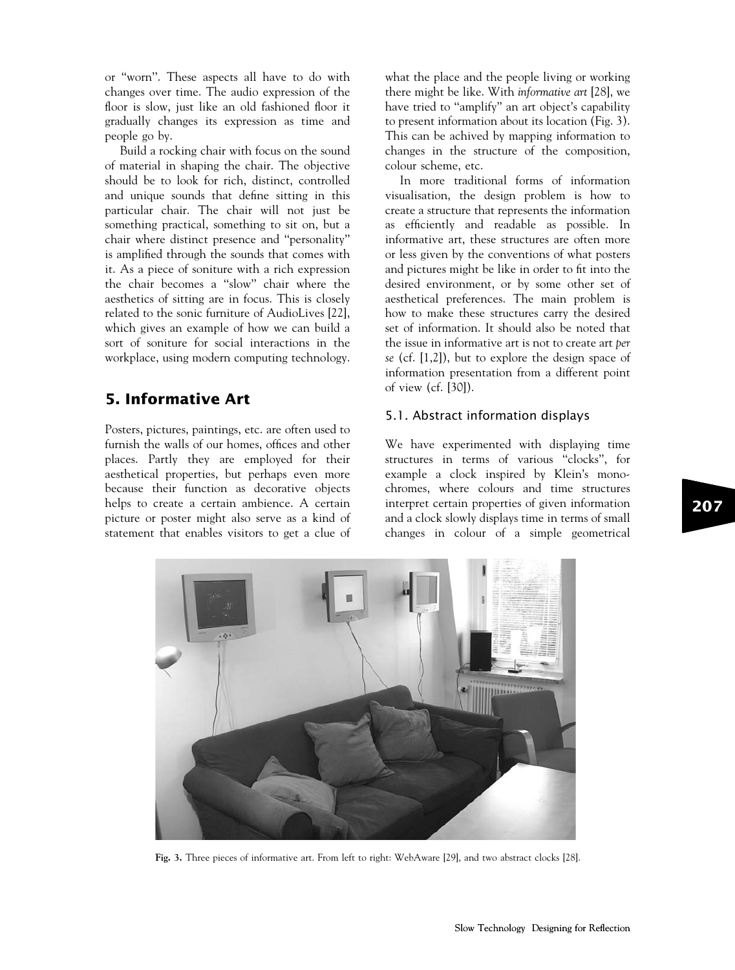or ''worn''. These aspects all have to do with changes over time. The audio expression of the floor is slow, just like an old fashioned floor it gradually changes its expression as time and people go by.

Build a rocking chair with focus on the sound of material in shaping the chair. The objective should be to look for rich, distinct, controlled and unique sounds that define sitting in this particular chair. The chair will not just be something practical, something to sit on, but a chair where distinct presence and ''personality'' is amplified through the sounds that comes with it. As a piece of soniture with a rich expression the chair becomes a ''slow'' chair where the aesthetics of sitting are in focus. This is closely related to the sonic furniture of AudioLives [22], which gives an example of how we can build a sort of soniture for social interactions in the workplace, using modern computing technology.

## 5. Informative Art

Posters, pictures, paintings, etc. are often used to furnish the walls of our homes, offices and other places. Partly they are employed for their aesthetical properties, but perhaps even more because their function as decorative objects helps to create a certain ambience. A certain picture or poster might also serve as a kind of statement that enables visitors to get a clue of

what the place and the people living or working there might be like. With informative art [28], we have tried to ''amplify'' an art object's capability to present information about its location (Fig. 3). This can be achived by mapping information to changes in the structure of the composition, colour scheme, etc.

In more traditional forms of information visualisation, the design problem is how to create a structure that represents the information as efficiently and readable as possible. In informative art, these structures are often more or less given by the conventions of what posters and pictures might be like in order to fit into the desired environment, or by some other set of aesthetical preferences. The main problem is how to make these structures carry the desired set of information. It should also be noted that the issue in informative art is not to create art per se (cf. [1,2]), but to explore the design space of information presentation from a different point of view (cf. [30]).

### 5.1. Abstract information displays

We have experimented with displaying time structures in terms of various ''clocks'', for example a clock inspired by Klein's monochromes, where colours and time structures interpret certain properties of given information and a clock slowly displays time in terms of small changes in colour of a simple geometrical



Fig. 3. Three pieces of informative art. From left to right: WebAware [29], and two abstract clocks [28].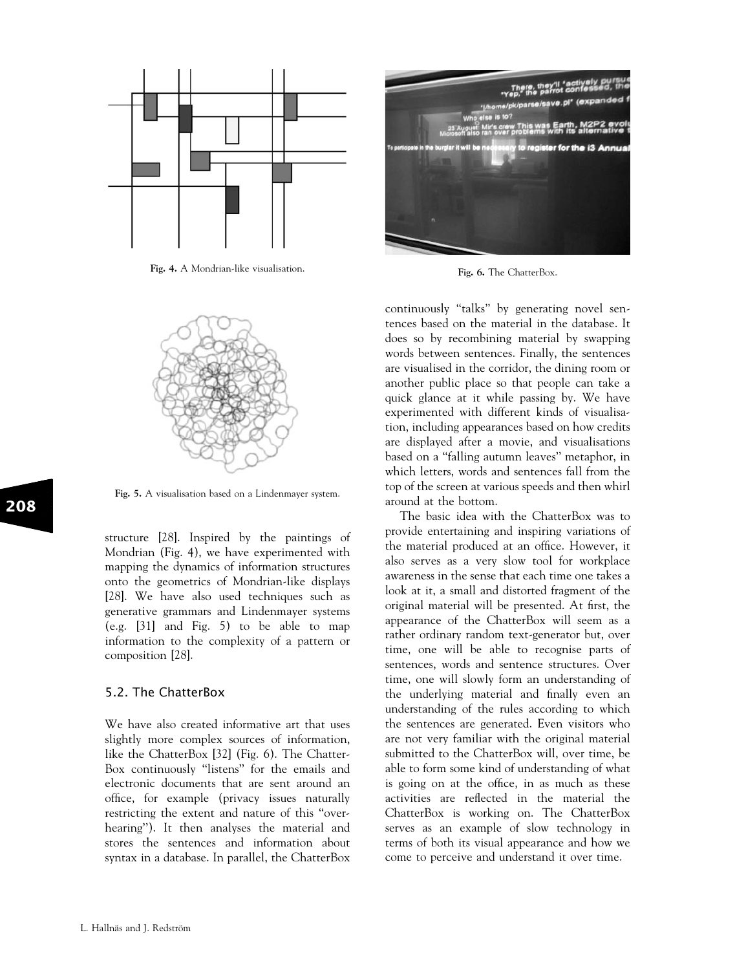

Fig. 4. A Mondrian-like visualisation.



Fig. 5. A visualisation based on a Lindenmayer system.

structure [28]. Inspired by the paintings of Mondrian (Fig. 4), we have experimented with mapping the dynamics of information structures onto the geometrics of Mondrian-like displays [28]. We have also used techniques such as generative grammars and Lindenmayer systems (e.g. [31] and Fig. 5) to be able to map information to the complexity of a pattern or composition [28].

#### 5.2. The ChatterBox

We have also created informative art that uses slightly more complex sources of information, like the ChatterBox [32] (Fig. 6). The Chatter-Box continuously "listens" for the emails and electronic documents that are sent around an office, for example (privacy issues naturally restricting the extent and nature of this ''overhearing''). It then analyses the material and stores the sentences and information about syntax in a database. In parallel, the ChatterBox



Fig. 6. The ChatterBox.

continuously ''talks'' by generating novel sentences based on the material in the database. It does so by recombining material by swapping words between sentences. Finally, the sentences are visualised in the corridor, the dining room or another public place so that people can take a quick glance at it while passing by. We have experimented with different kinds of visualisation, including appearances based on how credits are displayed after a movie, and visualisations based on a ''falling autumn leaves'' metaphor, in which letters, words and sentences fall from the top of the screen at various speeds and then whirl around at the bottom.

The basic idea with the ChatterBox was to provide entertaining and inspiring variations of the material produced at an office. However, it also serves as a very slow tool for workplace awareness in the sense that each time one takes a look at it, a small and distorted fragment of the original material will be presented. At first, the appearance of the ChatterBox will seem as a rather ordinary random text-generator but, over time, one will be able to recognise parts of sentences, words and sentence structures. Over time, one will slowly form an understanding of the underlying material and finally even an understanding of the rules according to which the sentences are generated. Even visitors who are not very familiar with the original material submitted to the ChatterBox will, over time, be able to form some kind of understanding of what is going on at the office, in as much as these activities are reflected in the material the ChatterBox is working on. The ChatterBox serves as an example of slow technology in terms of both its visual appearance and how we come to perceive and understand it over time.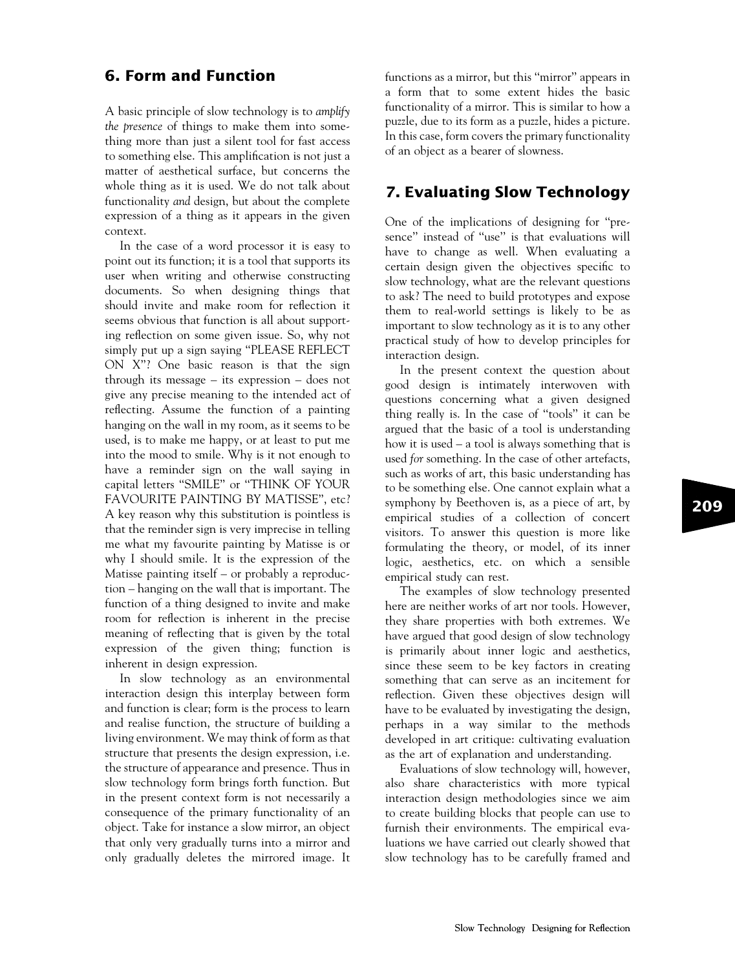## 6. Form and Function

A basic principle of slow technology is to amplify the presence of things to make them into something more than just a silent tool for fast access to something else. This amplification is not just a matter of aesthetical surface, but concerns the whole thing as it is used. We do not talk about functionality and design, but about the complete expression of a thing as it appears in the given context.

In the case of a word processor it is easy to point out its function; it is a tool that supports its user when writing and otherwise constructing documents. So when designing things that should invite and make room for reflection it seems obvious that function is all about supporting reflection on some given issue. So, why not simply put up a sign saying ''PLEASE REFLECT ON X''? One basic reason is that the sign through its message – its expression – does not give any precise meaning to the intended act of reflecting. Assume the function of a painting hanging on the wall in my room, as it seems to be used, is to make me happy, or at least to put me into the mood to smile. Why is it not enough to have a reminder sign on the wall saying in capital letters ''SMILE'' or ''THINK OF YOUR FAVOURITE PAINTING BY MATISSE'', etc? A key reason why this substitution is pointless is that the reminder sign is very imprecise in telling me what my favourite painting by Matisse is or why I should smile. It is the expression of the Matisse painting itself – or probably a reproduction – hanging on the wall that is important. The function of a thing designed to invite and make room for reflection is inherent in the precise meaning of reflecting that is given by the total expression of the given thing; function is inherent in design expression.

In slow technology as an environmental interaction design this interplay between form and function is clear; form is the process to learn and realise function, the structure of building a living environment. We may think of form as that structure that presents the design expression, i.e. the structure of appearance and presence. Thus in slow technology form brings forth function. But in the present context form is not necessarily a consequence of the primary functionality of an object. Take for instance a slow mirror, an object that only very gradually turns into a mirror and only gradually deletes the mirrored image. It functions as a mirror, but this ''mirror'' appears in a form that to some extent hides the basic functionality of a mirror. This is similar to how a puzzle, due to its form as a puzzle, hides a picture. In this case, form covers the primary functionality of an object as a bearer of slowness.

## 7. Evaluating Slow Technology

One of the implications of designing for ''presence'' instead of ''use'' is that evaluations will have to change as well. When evaluating a certain design given the objectives specific to slow technology, what are the relevant questions to ask? The need to build prototypes and expose them to real-world settings is likely to be as important to slow technology as it is to any other practical study of how to develop principles for interaction design.

In the present context the question about good design is intimately interwoven with questions concerning what a given designed thing really is. In the case of ''tools'' it can be argued that the basic of a tool is understanding how it is used – a tool is always something that is used for something. In the case of other artefacts, such as works of art, this basic understanding has to be something else. One cannot explain what a symphony by Beethoven is, as a piece of art, by empirical studies of a collection of concert visitors. To answer this question is more like formulating the theory, or model, of its inner logic, aesthetics, etc. on which a sensible empirical study can rest.

The examples of slow technology presented here are neither works of art nor tools. However, they share properties with both extremes. We have argued that good design of slow technology is primarily about inner logic and aesthetics, since these seem to be key factors in creating something that can serve as an incitement for reflection. Given these objectives design will have to be evaluated by investigating the design, perhaps in a way similar to the methods developed in art critique: cultivating evaluation as the art of explanation and understanding.

Evaluations of slow technology will, however, also share characteristics with more typical interaction design methodologies since we aim to create building blocks that people can use to furnish their environments. The empirical evaluations we have carried out clearly showed that slow technology has to be carefully framed and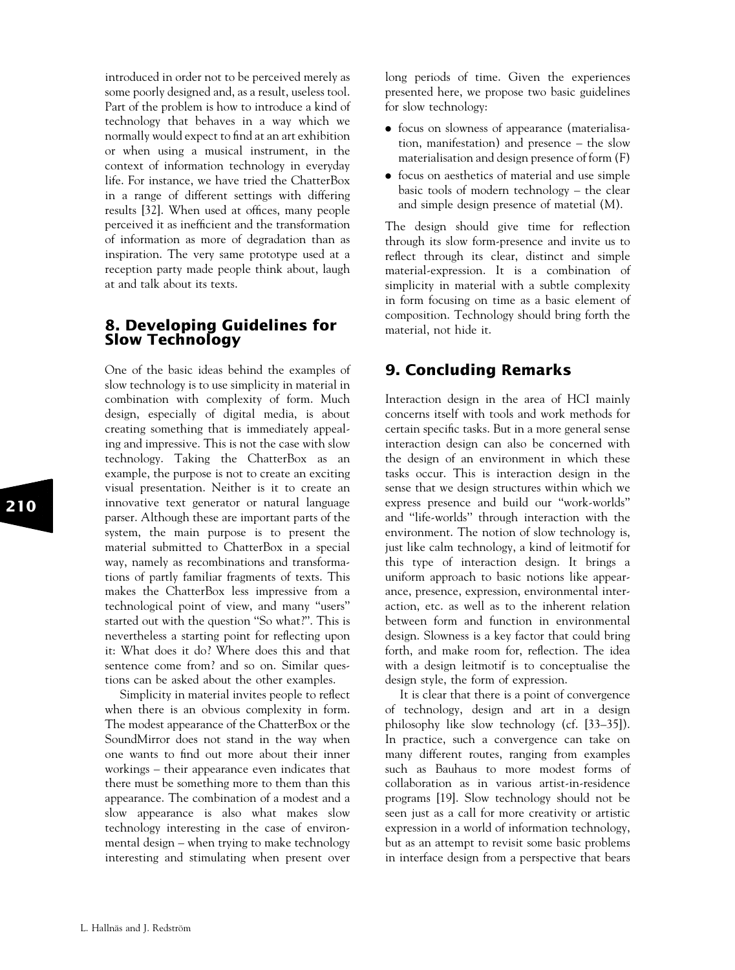introduced in order not to be perceived merely as some poorly designed and, as a result, useless tool. Part of the problem is how to introduce a kind of technology that behaves in a way which we normally would expect to find at an art exhibition or when using a musical instrument, in the context of information technology in everyday life. For instance, we have tried the ChatterBox in a range of different settings with differing results [32]. When used at offices, many people perceived it as inefficient and the transformation of information as more of degradation than as inspiration. The very same prototype used at a reception party made people think about, laugh at and talk about its texts.

## 8. Developing Guidelines for Slow Technology

One of the basic ideas behind the examples of slow technology is to use simplicity in material in combination with complexity of form. Much design, especially of digital media, is about creating something that is immediately appealing and impressive. This is not the case with slow technology. Taking the ChatterBox as an example, the purpose is not to create an exciting visual presentation. Neither is it to create an innovative text generator or natural language parser. Although these are important parts of the system, the main purpose is to present the material submitted to ChatterBox in a special way, namely as recombinations and transformations of partly familiar fragments of texts. This makes the ChatterBox less impressive from a technological point of view, and many ''users'' started out with the question ''So what?''. This is nevertheless a starting point for reflecting upon it: What does it do? Where does this and that sentence come from? and so on. Similar questions can be asked about the other examples.

Simplicity in material invites people to reflect when there is an obvious complexity in form. The modest appearance of the ChatterBox or the SoundMirror does not stand in the way when one wants to find out more about their inner workings – their appearance even indicates that there must be something more to them than this appearance. The combination of a modest and a slow appearance is also what makes slow technology interesting in the case of environmental design – when trying to make technology interesting and stimulating when present over

long periods of time. Given the experiences presented here, we propose two basic guidelines for slow technology:

- . focus on slowness of appearance (materialisation, manifestation) and presence – the slow materialisation and design presence of form (F)
- . focus on aesthetics of material and use simple basic tools of modern technology – the clear and simple design presence of matetial (M).

The design should give time for reflection through its slow form-presence and invite us to reflect through its clear, distinct and simple material-expression. It is a combination of simplicity in material with a subtle complexity in form focusing on time as a basic element of composition. Technology should bring forth the material, not hide it.

## 9. Concluding Remarks

Interaction design in the area of HCI mainly concerns itself with tools and work methods for certain specific tasks. But in a more general sense interaction design can also be concerned with the design of an environment in which these tasks occur. This is interaction design in the sense that we design structures within which we express presence and build our ''work-worlds'' and ''life-worlds'' through interaction with the environment. The notion of slow technology is, just like calm technology, a kind of leitmotif for this type of interaction design. It brings a uniform approach to basic notions like appearance, presence, expression, environmental interaction, etc. as well as to the inherent relation between form and function in environmental design. Slowness is a key factor that could bring forth, and make room for, reflection. The idea with a design leitmotif is to conceptualise the design style, the form of expression.

It is clear that there is a point of convergence of technology, design and art in a design philosophy like slow technology (cf. [33–35]). In practice, such a convergence can take on many different routes, ranging from examples such as Bauhaus to more modest forms of collaboration as in various artist-in-residence programs [19]. Slow technology should not be seen just as a call for more creativity or artistic expression in a world of information technology, but as an attempt to revisit some basic problems in interface design from a perspective that bears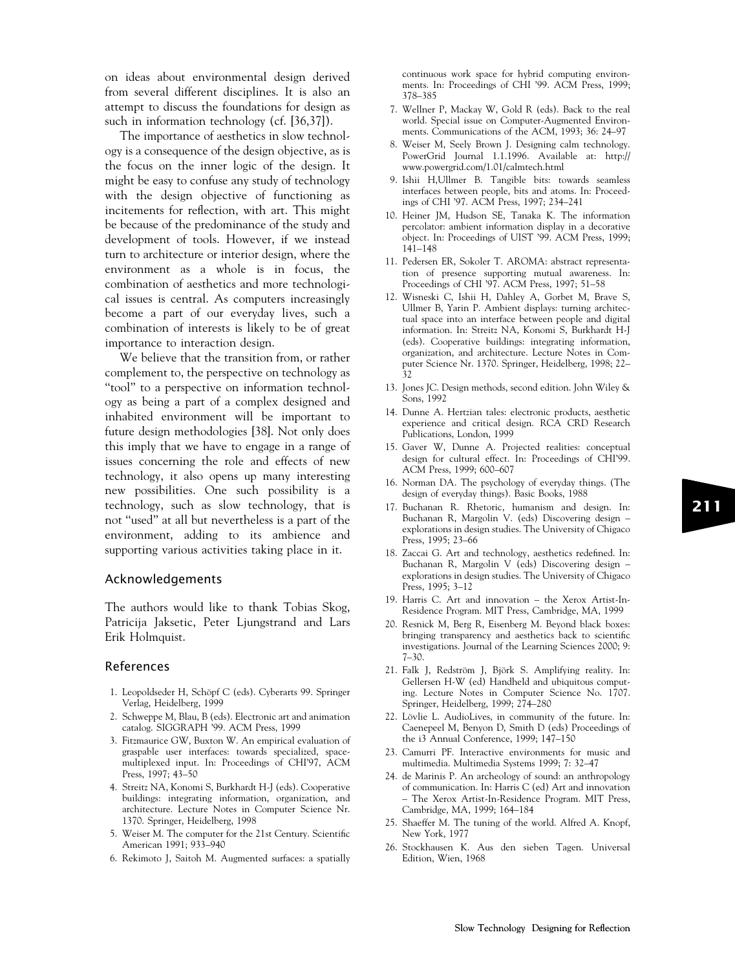on ideas about environmental design derived from several different disciplines. It is also an attempt to discuss the foundations for design as such in information technology (cf. [36,37]).

The importance of aesthetics in slow technology is a consequence of the design objective, as is the focus on the inner logic of the design. It might be easy to confuse any study of technology with the design objective of functioning as incitements for reflection, with art. This might be because of the predominance of the study and development of tools. However, if we instead turn to architecture or interior design, where the environment as a whole is in focus, the combination of aesthetics and more technological issues is central. As computers increasingly become a part of our everyday lives, such a combination of interests is likely to be of great importance to interaction design.

We believe that the transition from, or rather complement to, the perspective on technology as "tool" to a perspective on information technology as being a part of a complex designed and inhabited environment will be important to future design methodologies [38]. Not only does this imply that we have to engage in a range of issues concerning the role and effects of new technology, it also opens up many interesting new possibilities. One such possibility is a technology, such as slow technology, that is not ''used'' at all but nevertheless is a part of the environment, adding to its ambience and supporting various activities taking place in it.

#### Acknowledgements

The authors would like to thank Tobias Skog, Patricija Jaksetic, Peter Ljungstrand and Lars Erik Holmquist.

#### References

- 1. Leopoldseder H, Schöpf C (eds). Cyberarts 99. Springer Verlag, Heidelberg, 1999
- 2. Schweppe M, Blau, B (eds). Electronic art and animation catalog. SIGGRAPH '99. ACM Press, 1999
- 3. Fitzmaurice GW, Buxton W. An empirical evaluation of graspable user interfaces: towards specialized, spacemultiplexed input. In: Proceedings of CHI'97, ACM Press, 1997; 43–50
- 4. Streitz NA, Konomi S, Burkhardt H-J (eds). Cooperative buildings: integrating information, organization, and architecture. Lecture Notes in Computer Science Nr. 1370. Springer, Heidelberg, 1998
- 5. Weiser M. The computer for the 21st Century. Scientific American 1991; 933–940
- 6. Rekimoto J, Saitoh M. Augmented surfaces: a spatially

continuous work space for hybrid computing environments. In: Proceedings of CHI '99. ACM Press, 1999; 378–385

- 7. Wellner P, Mackay W, Gold R (eds). Back to the real world. Special issue on Computer-Augmented Environments. Communications of the ACM, 1993; 36: 24–97
- 8. Weiser M, Seely Brown J. Designing calm technology. PowerGrid Journal 1.1.1996. Available at: http:// www.powergrid.com/1.01/calmtech.html
- 9. Ishii H,Ullmer B. Tangible bits: towards seamless interfaces between people, bits and atoms. In: Proceedings of CHI '97. ACM Press, 1997; 234–241
- 10. Heiner JM, Hudson SE, Tanaka K. The information percolator: ambient information display in a decorative object. In: Proceedings of UIST '99. ACM Press, 1999; 141–148
- 11. Pedersen ER, Sokoler T. AROMA: abstract representation of presence supporting mutual awareness. In: Proceedings of CHI '97. ACM Press, 1997; 51–58
- 12. Wisneski C, Ishii H, Dahley A, Gorbet M, Brave S, Ullmer B, Yarin P. Ambient displays: turning architectual space into an interface between people and digital information. In: Streitz NA, Konomi S, Burkhardt H-J (eds). Cooperative buildings: integrating information, organization, and architecture. Lecture Notes in Computer Science Nr. 1370. Springer, Heidelberg, 1998; 22– 32
- 13. Jones JC. Design methods, second edition. John Wiley & Sons, 1992
- 14. Dunne A. Hertzian tales: electronic products, aesthetic experience and critical design. RCA CRD Research Publications, London, 1999
- 15. Gaver W, Dunne A. Projected realities: conceptual design for cultural effect. In: Proceedings of CHI'99. ACM Press, 1999; 600–607
- 16. Norman DA. The psychology of everyday things. (The design of everyday things). Basic Books, 1988
- 17. Buchanan R. Rhetoric, humanism and design. In: Buchanan R, Margolin V. (eds) Discovering design – explorations in design studies. The University of Chigaco Press, 1995; 23–66
- 18. Zaccai G. Art and technology, aesthetics redefined. In: Buchanan R, Margolin V (eds) Discovering design – explorations in design studies. The University of Chigaco Press, 1995; 3–12
- 19. Harris C. Art and innovation the Xerox Artist-In-Residence Program. MIT Press, Cambridge, MA, 1999
- 20. Resnick M, Berg R, Eisenberg M. Beyond black boxes: bringing transparency and aesthetics back to scientific investigations. Journal of the Learning Sciences 2000; 9:  $7 - 30.$
- 21. Falk J, Redström J, Björk S. Amplifying reality. In: Gellersen H-W (ed) Handheld and ubiquitous computing. Lecture Notes in Computer Science No. 1707. Springer, Heidelberg, 1999; 274–280
- 22. Lövlie L. AudioLives, in community of the future. In: Caenepeel M, Benyon D, Smith D (eds) Proceedings of the i3 Annual Conference, 1999; 147–150
- 23. Camurri PF. Interactive environments for music and multimedia. Multimedia Systems 1999; 7: 32–47
- 24. de Marinis P. An archeology of sound: an anthropology of communication. In: Harris C (ed) Art and innovation – The Xerox Artist-In-Residence Program. MIT Press, Cambridge, MA, 1999; 164–184
- 25. Shaeffer M. The tuning of the world. Alfred A. Knopf, New York, 1977
- 26. Stockhausen K. Aus den sieben Tagen. Universal Edition, Wien, 1968